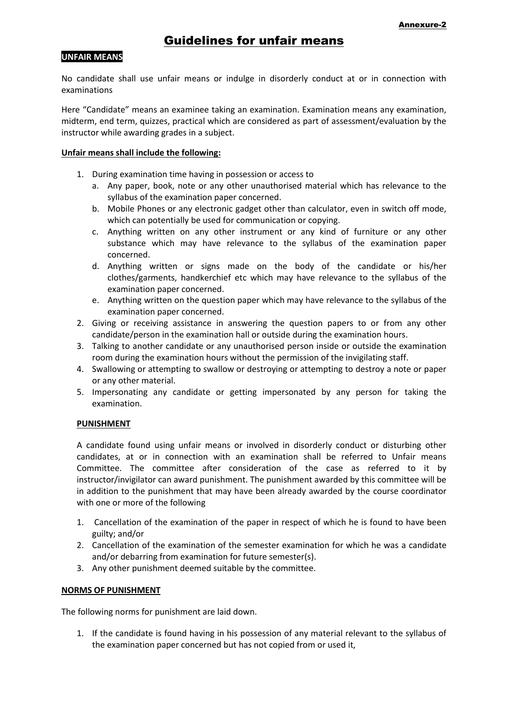## **UNFAIR MEANS**

No candidate shall use unfair means or indulge in disorderly conduct at or in connection with examinations

Here "Candidate" means an examinee taking an examination. Examination means any examination, midterm, end term, quizzes, practical which are considered as part of assessment/evaluation by the instructor while awarding grades in a subject.

## **Unfair means shall include the following:**

- 1. During examination time having in possession or access to
	- a. Any paper, book, note or any other unauthorised material which has relevance to the syllabus of the examination paper concerned.
	- b. Mobile Phones or any electronic gadget other than calculator, even in switch off mode, which can potentially be used for communication or copying.
	- c. Anything written on any other instrument or any kind of furniture or any other substance which may have relevance to the syllabus of the examination paper concerned.
	- d. Anything written or signs made on the body of the candidate or his/her clothes/garments, handkerchief etc which may have relevance to the syllabus of the examination paper concerned.
	- e. Anything written on the question paper which may have relevance to the syllabus of the examination paper concerned.
- 2. Giving or receiving assistance in answering the question papers to or from any other candidate/person in the examination hall or outside during the examination hours.
- 3. Talking to another candidate or any unauthorised person inside or outside the examination room during the examination hours without the permission of the invigilating staff.
- 4. Swallowing or attempting to swallow or destroying or attempting to destroy a note or paper or any other material.
- 5. Impersonating any candidate or getting impersonated by any person for taking the examination.

## **PUNISHMENT**

A candidate found using unfair means or involved in disorderly conduct or disturbing other candidates, at or in connection with an examination shall be referred to Unfair means Committee. The committee after consideration of the case as referred to it by instructor/invigilator can award punishment. The punishment awarded by this committee will be in addition to the punishment that may have been already awarded by the course coordinator with one or more of the following

- 1. Cancellation of the examination of the paper in respect of which he is found to have been guilty; and/or
- 2. Cancellation of the examination of the semester examination for which he was a candidate and/or debarring from examination for future semester(s).
- 3. Any other punishment deemed suitable by the committee.

## **NORMS OF PUNISHMENT**

The following norms for punishment are laid down.

1. If the candidate is found having in his possession of any material relevant to the syllabus of the examination paper concerned but has not copied from or used it,